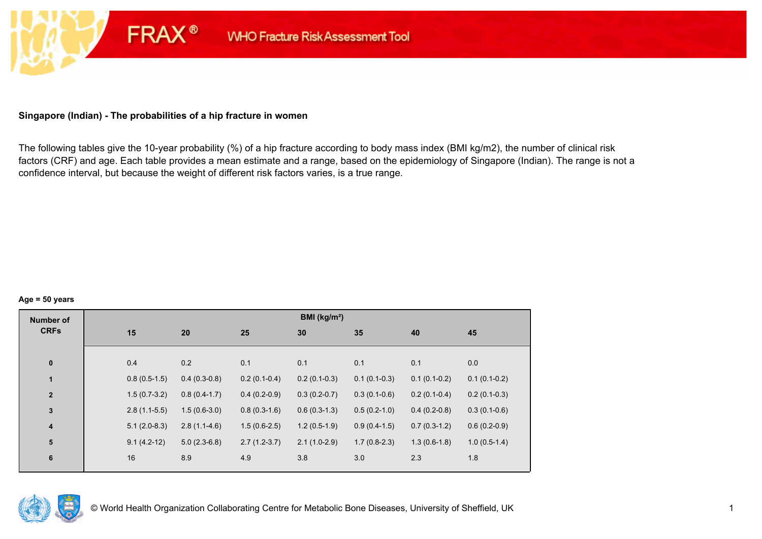# **Singapore (Indian) - The probabilities of a hip fracture in women**

**FRAX®** 

The following tables give the 10-year probability (%) of a hip fracture according to body mass index (BMI kg/m2), the number of clinical risk factors (CRF) and age. Each table provides a mean estimate and a range, based on the epidemiology of Singapore (Indian). The range is not a confidence interval, but because the weight of different risk factors varies, is a true range.

#### **Age = 50 years**

| <b>Number of</b> |     |                                  |                | BMI (kg/m <sup>2</sup> ) |                |                |                |
|------------------|-----|----------------------------------|----------------|--------------------------|----------------|----------------|----------------|
| <b>CRFs</b>      | 15  | 20                               | 25             | 30                       | 35             | 40             | 45             |
|                  |     |                                  |                |                          |                |                |                |
| $\pmb{0}$        | 0.4 | 0.2                              | 0.1            | 0.1                      | 0.1            | 0.1            | 0.0            |
| $\mathbf{1}$     |     | $0.4(0.3-0.8)$<br>$0.8(0.5-1.5)$ | $0.2(0.1-0.4)$ | $0.2(0.1-0.3)$           | $0.1(0.1-0.3)$ | $0.1(0.1-0.2)$ | $0.1(0.1-0.2)$ |
| $\mathbf{2}$     |     | $1.5(0.7-3.2)$<br>$0.8(0.4-1.7)$ | $0.4(0.2-0.9)$ | $0.3(0.2-0.7)$           | $0.3(0.1-0.6)$ | $0.2(0.1-0.4)$ | $0.2(0.1-0.3)$ |
| $\mathbf 3$      |     | $2.8(1.1-5.5)$<br>$1.5(0.6-3.0)$ | $0.8(0.3-1.6)$ | $0.6(0.3-1.3)$           | $0.5(0.2-1.0)$ | $0.4(0.2-0.8)$ | $0.3(0.1-0.6)$ |
| $\boldsymbol{4}$ |     | $2.8(1.1-4.6)$<br>$5.1(2.0-8.3)$ | $1.5(0.6-2.5)$ | $1.2(0.5-1.9)$           | $0.9(0.4-1.5)$ | $0.7(0.3-1.2)$ | $0.6(0.2-0.9)$ |
| 5                |     | $5.0(2.3-6.8)$<br>$9.1(4.2-12)$  | $2.7(1.2-3.7)$ | $2.1(1.0-2.9)$           | $1.7(0.8-2.3)$ | $1.3(0.6-1.8)$ | $1.0(0.5-1.4)$ |
| $\bf 6$          | 16  | 8.9                              | 4.9            | 3.8                      | 3.0            | 2.3            | 1.8            |

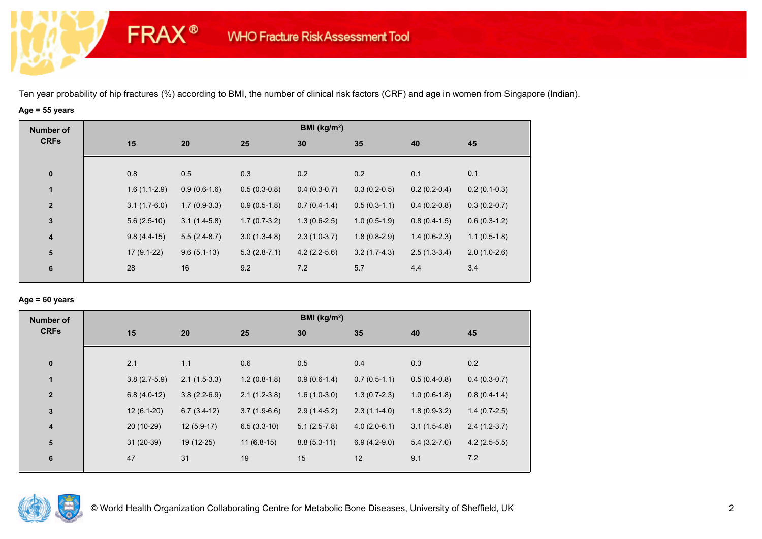# **Age = 55 years**

**FRAX®** 

| <b>Number of</b> |                |                |                | BMI ( $kg/m2$ ) |                |                |                |
|------------------|----------------|----------------|----------------|-----------------|----------------|----------------|----------------|
| <b>CRFs</b>      | 15             | 20             | 25             | 30              | 35             | 40             | 45             |
|                  |                |                |                |                 |                |                |                |
| $\mathbf 0$      | 0.8            | 0.5            | 0.3            | 0.2             | 0.2            | 0.1            | 0.1            |
| $\mathbf{1}$     | $1.6(1.1-2.9)$ | $0.9(0.6-1.6)$ | $0.5(0.3-0.8)$ | $0.4(0.3-0.7)$  | $0.3(0.2-0.5)$ | $0.2(0.2-0.4)$ | $0.2(0.1-0.3)$ |
| $\mathbf{2}$     | $3.1(1.7-6.0)$ | $1.7(0.9-3.3)$ | $0.9(0.5-1.8)$ | $0.7(0.4-1.4)$  | $0.5(0.3-1.1)$ | $0.4(0.2-0.8)$ | $0.3(0.2-0.7)$ |
| $\mathbf{3}$     | $5.6(2.5-10)$  | $3.1(1.4-5.8)$ | $1.7(0.7-3.2)$ | $1.3(0.6-2.5)$  | $1.0(0.5-1.9)$ | $0.8(0.4-1.5)$ | $0.6(0.3-1.2)$ |
| $\boldsymbol{4}$ | $9.8(4.4-15)$  | $5.5(2.4-8.7)$ | $3.0(1.3-4.8)$ | $2.3(1.0-3.7)$  | $1.8(0.8-2.9)$ | $1.4(0.6-2.3)$ | $1.1(0.5-1.8)$ |
| ${\bf 5}$        | $17(9.1-22)$   | $9.6(5.1-13)$  | $5.3(2.8-7.1)$ | $4.2(2.2-5.6)$  | $3.2(1.7-4.3)$ | $2.5(1.3-3.4)$ | $2.0(1.0-2.6)$ |
| 6                | 28             | 16             | 9.2            | 7.2             | 5.7            | 4.4            | 3.4            |
|                  |                |                |                |                 |                |                |                |

### **Age = 60 years**

| <b>Number of</b>        |     |                                  |                | BMI ( $kg/m2$ ) |                |                |                |
|-------------------------|-----|----------------------------------|----------------|-----------------|----------------|----------------|----------------|
| <b>CRFs</b>             | 15  | 20                               | 25             | 30              | 35             | 40             | 45             |
| $\pmb{0}$               | 2.1 | 1.1                              | 0.6            | 0.5             | 0.4            | 0.3            | 0.2            |
| $\blacksquare$          |     | $2.1(1.5-3.3)$<br>$3.8(2.7-5.9)$ | $1.2(0.8-1.8)$ | $0.9(0.6-1.4)$  | $0.7(0.5-1.1)$ | $0.5(0.4-0.8)$ | $0.4(0.3-0.7)$ |
| $\overline{2}$          |     | $3.8(2.2-6.9)$<br>$6.8(4.0-12)$  | $2.1(1.2-3.8)$ | $1.6(1.0-3.0)$  | $1.3(0.7-2.3)$ | $1.0(0.6-1.8)$ | $0.8(0.4-1.4)$ |
| $\mathbf 3$             |     | $12(6.1-20)$<br>$6.7(3.4-12)$    | $3.7(1.9-6.6)$ | $2.9(1.4-5.2)$  | $2.3(1.1-4.0)$ | $1.8(0.9-3.2)$ | $1.4(0.7-2.5)$ |
| $\overline{\mathbf{4}}$ |     | 20 (10-29)<br>$12(5.9-17)$       | $6.5(3.3-10)$  | $5.1(2.5-7.8)$  | $4.0(2.0-6.1)$ | $3.1(1.5-4.8)$ | $2.4(1.2-3.7)$ |
| 5                       |     | $31(20-39)$<br>19 (12-25)        | $11(6.8-15)$   | $8.8(5.3-11)$   | $6.9(4.2-9.0)$ | $5.4(3.2-7.0)$ | $4.2(2.5-5.5)$ |
| 6                       | 47  | 31                               | 19             | 15              | 12             | 9.1            | 7.2            |

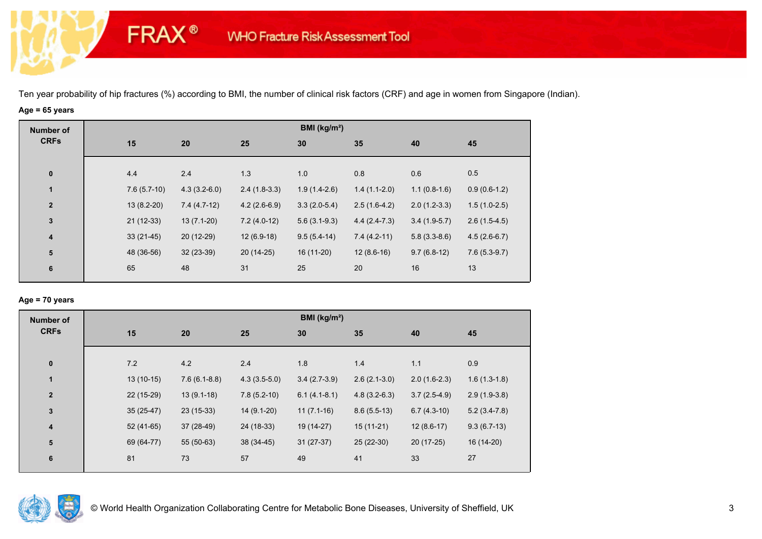# **Age = 65 years**

**FRAX®** 

| <b>Number of</b>        |     |               |                |                | BMI ( $kg/m2$ ) |                |                |                |
|-------------------------|-----|---------------|----------------|----------------|-----------------|----------------|----------------|----------------|
| <b>CRFs</b>             | 15  |               | 20             | 25             | 30              | 35             | 40             | 45             |
| $\bf{0}$                | 4.4 |               | 2.4            | 1.3            | 1.0             | 0.8            | 0.6            | 0.5            |
| $\mathbf{1}$            |     | $7.6(5.7-10)$ | $4.3(3.2-6.0)$ | $2.4(1.8-3.3)$ | $1.9(1.4-2.6)$  | $1.4(1.1-2.0)$ | $1.1(0.8-1.6)$ | $0.9(0.6-1.2)$ |
| $\mathbf{2}$            |     | $13(8.2-20)$  | $7.4(4.7-12)$  | $4.2(2.6-6.9)$ | $3.3(2.0-5.4)$  | $2.5(1.6-4.2)$ | $2.0(1.2-3.3)$ | $1.5(1.0-2.5)$ |
| $\mathbf{3}$            |     | $21(12-33)$   | $13(7.1-20)$   | $7.2(4.0-12)$  | $5.6(3.1-9.3)$  | $4.4(2.4-7.3)$ | $3.4(1.9-5.7)$ | $2.6(1.5-4.5)$ |
| $\overline{\mathbf{4}}$ |     | $33(21-45)$   | 20 (12-29)     | $12(6.9-18)$   | $9.5(5.4-14)$   | $7.4(4.2-11)$  | $5.8(3.3-8.6)$ | $4.5(2.6-6.7)$ |
| ${\bf 5}$               |     | 48 (36-56)    | $32(23-39)$    | $20(14-25)$    | 16 (11-20)      | $12(8.6-16)$   | $9.7(6.8-12)$  | $7.6(5.3-9.7)$ |
| 6                       | 65  |               | 48             | 31             | 25              | 20             | 16             | 13             |
|                         |     |               |                |                |                 |                |                |                |

### **Age = 70 years**

| <b>Number of</b>        |             |                |                | BMI (kg/m <sup>2</sup> ) |                |                |                |
|-------------------------|-------------|----------------|----------------|--------------------------|----------------|----------------|----------------|
| <b>CRFs</b>             | 15          | 20             | 25             | 30                       | 35             | 40             | 45             |
| $\pmb{0}$               | 7.2         | 4.2            | 2.4            | 1.8                      | 1.4            | 1.1            | 0.9            |
| 1                       | $13(10-15)$ | $7.6(6.1-8.8)$ | $4.3(3.5-5.0)$ | $3.4(2.7-3.9)$           | $2.6(2.1-3.0)$ | $2.0(1.6-2.3)$ | $1.6(1.3-1.8)$ |
| $\overline{2}$          | 22 (15-29)  | $13(9.1-18)$   | $7.8(5.2-10)$  | $6.1(4.1-8.1)$           | $4.8(3.2-6.3)$ | $3.7(2.5-4.9)$ | $2.9(1.9-3.8)$ |
| $\mathbf 3$             | $35(25-47)$ | $23(15-33)$    | $14(9.1-20)$   | $11(7.1-16)$             | $8.6(5.5-13)$  | $6.7(4.3-10)$  | $5.2(3.4-7.8)$ |
| $\overline{\mathbf{4}}$ | $52(41-65)$ | 37 (28-49)     | 24 (18-33)     | 19 (14-27)               | $15(11-21)$    | $12(8.6-17)$   | $9.3(6.7-13)$  |
| ${\bf 5}$               | 69 (64-77)  | 55 (50-63)     | 38 (34-45)     | $31(27-37)$              | 25 (22-30)     | $20(17-25)$    | 16 (14-20)     |
| 6                       | 81          | 73             | 57             | 49                       | 41             | 33             | 27             |

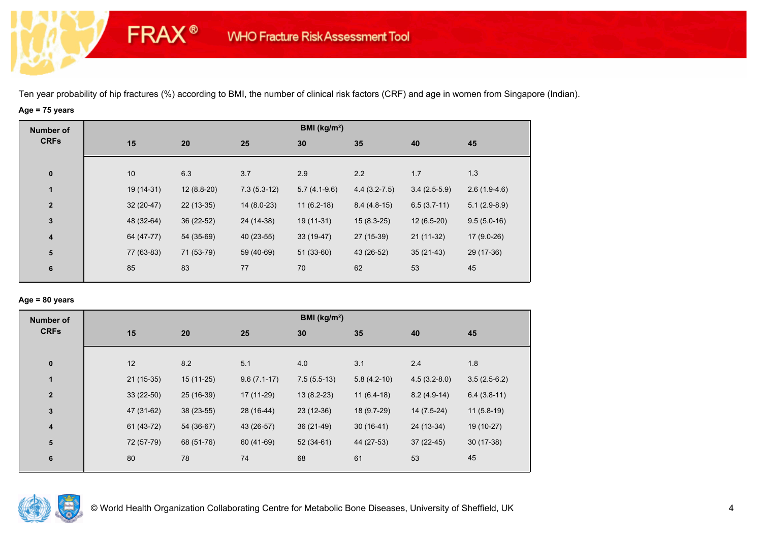# **Age = 75 years**

**FRAX®** 

| Number of               |             |              |               | BMI ( $kg/m2$ ) |                  |                |                |
|-------------------------|-------------|--------------|---------------|-----------------|------------------|----------------|----------------|
| <b>CRFs</b>             | 15          | 20           | 25            | 30              | 35               | 40             | 45             |
| $\bf{0}$                | 10          | 6.3          | 3.7           | 2.9             | 2.2              | 1.7            | 1.3            |
| $\mathbf{1}$            | 19 (14-31)  | $12(8.8-20)$ | $7.3(5.3-12)$ | $5.7(4.1-9.6)$  | $4.4(3.2 - 7.5)$ | $3.4(2.5-5.9)$ | $2.6(1.9-4.6)$ |
| $\overline{\mathbf{2}}$ | $32(20-47)$ | $22(13-35)$  | $14(8.0-23)$  | $11(6.2-18)$    | $8.4(4.8-15)$    | $6.5(3.7-11)$  | $5.1(2.9-8.9)$ |
| $\mathbf{3}$            | 48 (32-64)  | 36 (22-52)   | 24 (14-38)    | $19(11-31)$     | $15(8.3-25)$     | $12(6.5-20)$   | $9.5(5.0-16)$  |
| 4                       | 64 (47-77)  | 54 (35-69)   | 40 (23-55)    | $33(19-47)$     | 27 (15-39)       | $21(11-32)$    | $17(9.0-26)$   |
| $\overline{\mathbf{5}}$ | 77 (63-83)  | 71 (53-79)   | 59 (40-69)    | $51(33-60)$     | 43 (26-52)       | $35(21-43)$    | 29 (17-36)     |
| 6                       | 85          | 83           | 77            | 70              | 62               | 53             | 45             |
|                         |             |              |               |                 |                  |                |                |

### **Age = 80 years**

| <b>Number of</b> |             |             |               | BMI ( $kg/m2$ ) |               |                |                |
|------------------|-------------|-------------|---------------|-----------------|---------------|----------------|----------------|
| <b>CRFs</b>      | 15          | 20          | 25            | 30              | 35            | 40             | 45             |
|                  |             |             |               |                 |               |                |                |
| $\bf{0}$         | 12          | 8.2         | 5.1           | 4.0             | 3.1           | 2.4            | 1.8            |
| $\mathbf{1}$     | $21(15-35)$ | $15(11-25)$ | $9.6(7.1-17)$ | $7.5(5.5-13)$   | $5.8(4.2-10)$ | $4.5(3.2-8.0)$ | $3.5(2.5-6.2)$ |
| $\mathbf{2}$     | $33(22-50)$ | 25 (16-39)  | 17 (11-29)    | $13(8.2-23)$    | $11(6.4-18)$  | $8.2(4.9-14)$  | $6.4(3.8-11)$  |
| $\mathbf{3}$     | 47 (31-62)  | 38 (23-55)  | 28 (16-44)    | $23(12-36)$     | 18 (9.7-29)   | $14(7.5-24)$   | $11(5.8-19)$   |
| 4                | $61(43-72)$ | 54 (36-67)  | 43 (26-57)    | $36(21-49)$     | $30(16-41)$   | 24 (13-34)     | 19 (10-27)     |
| 5                | 72 (57-79)  | 68 (51-76)  | 60 (41-69)    | $52(34-61)$     | 44 (27-53)    | $37(22-45)$    | $30(17-38)$    |
| 6                | 80          | 78          | 74            | 68              | 61            | 53             | 45             |
|                  |             |             |               |                 |               |                |                |